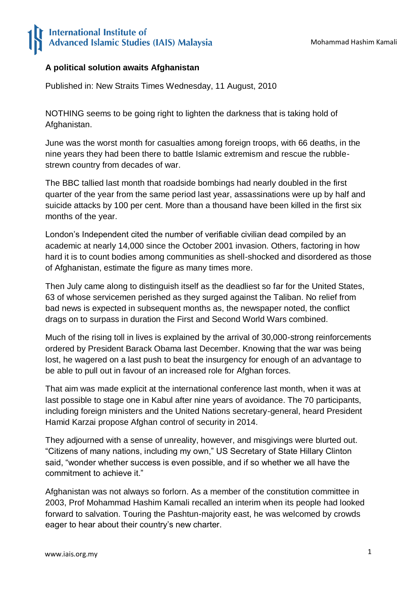## **International Institute of** Advanced Islamic Studies (IAIS) Malaysia

## **A political solution awaits Afghanistan**

Published in: New Straits Times Wednesday, 11 August, 2010

NOTHING seems to be going right to lighten the darkness that is taking hold of Afghanistan.

June was the worst month for casualties among foreign troops, with 66 deaths, in the nine years they had been there to battle Islamic extremism and rescue the rubblestrewn country from decades of war.

The BBC tallied last month that roadside bombings had nearly doubled in the first quarter of the year from the same period last year, assassinations were up by half and suicide attacks by 100 per cent. More than a thousand have been killed in the first six months of the year.

London's Independent cited the number of verifiable civilian dead compiled by an academic at nearly 14,000 since the October 2001 invasion. Others, factoring in how hard it is to count bodies among communities as shell-shocked and disordered as those of Afghanistan, estimate the figure as many times more.

Then July came along to distinguish itself as the deadliest so far for the United States, 63 of whose servicemen perished as they surged against the Taliban. No relief from bad news is expected in subsequent months as, the newspaper noted, the conflict drags on to surpass in duration the First and Second World Wars combined.

Much of the rising toll in lives is explained by the arrival of 30,000-strong reinforcements ordered by President Barack Obama last December. Knowing that the war was being lost, he wagered on a last push to beat the insurgency for enough of an advantage to be able to pull out in favour of an increased role for Afghan forces.

That aim was made explicit at the international conference last month, when it was at last possible to stage one in Kabul after nine years of avoidance. The 70 participants, including foreign ministers and the United Nations secretary-general, heard President Hamid Karzai propose Afghan control of security in 2014.

They adjourned with a sense of unreality, however, and misgivings were blurted out. "Citizens of many nations, including my own," US Secretary of State Hillary Clinton said, "wonder whether success is even possible, and if so whether we all have the commitment to achieve it."

Afghanistan was not always so forlorn. As a member of the constitution committee in 2003, Prof Mohammad Hashim Kamali recalled an interim when its people had looked forward to salvation. Touring the Pashtun-majority east, he was welcomed by crowds eager to hear about their country's new charter.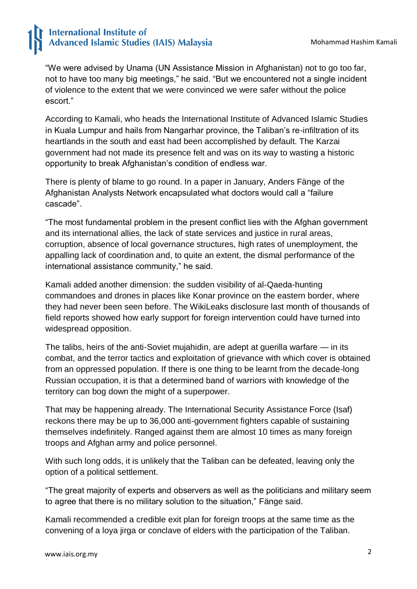## **International Institute of Advanced Islamic Studies (IAIS) Malaysia**

"We were advised by Unama (UN Assistance Mission in Afghanistan) not to go too far, not to have too many big meetings," he said. "But we encountered not a single incident of violence to the extent that we were convinced we were safer without the police escort."

According to Kamali, who heads the International Institute of Advanced Islamic Studies in Kuala Lumpur and hails from Nangarhar province, the Taliban's re-infiltration of its heartlands in the south and east had been accomplished by default. The Karzai government had not made its presence felt and was on its way to wasting a historic opportunity to break Afghanistan's condition of endless war.

There is plenty of blame to go round. In a paper in January, Anders Fänge of the Afghanistan Analysts Network encapsulated what doctors would call a "failure cascade".

"The most fundamental problem in the present conflict lies with the Afghan government and its international allies, the lack of state services and justice in rural areas, corruption, absence of local governance structures, high rates of unemployment, the appalling lack of coordination and, to quite an extent, the dismal performance of the international assistance community," he said.

Kamali added another dimension: the sudden visibility of al-Qaeda-hunting commandoes and drones in places like Konar province on the eastern border, where they had never been seen before. The WikiLeaks disclosure last month of thousands of field reports showed how early support for foreign intervention could have turned into widespread opposition.

The talibs, heirs of the anti-Soviet mujahidin, are adept at guerilla warfare — in its combat, and the terror tactics and exploitation of grievance with which cover is obtained from an oppressed population. If there is one thing to be learnt from the decade-long Russian occupation, it is that a determined band of warriors with knowledge of the territory can bog down the might of a superpower.

That may be happening already. The International Security Assistance Force (Isaf) reckons there may be up to 36,000 anti-government fighters capable of sustaining themselves indefinitely. Ranged against them are almost 10 times as many foreign troops and Afghan army and police personnel.

With such long odds, it is unlikely that the Taliban can be defeated, leaving only the option of a political settlement.

"The great majority of experts and observers as well as the politicians and military seem to agree that there is no military solution to the situation," Fänge said.

Kamali recommended a credible exit plan for foreign troops at the same time as the convening of a loya jirga or conclave of elders with the participation of the Taliban.